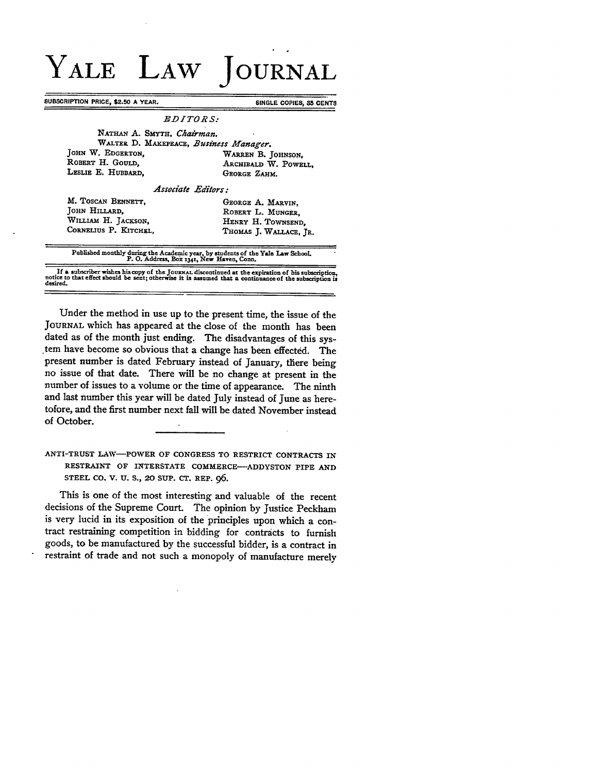## **YALE LAW JOURNAL**

| SUBSCRIPTION PRICE, \$2.50 A YEAR.     | SINGLE COPIES, 85 CENTS                                                                                                      |
|----------------------------------------|------------------------------------------------------------------------------------------------------------------------------|
|                                        | <i>EDITORS:</i>                                                                                                              |
| NATHAN A. SMYTH, Chairman.             |                                                                                                                              |
| WALTER D. MAKEPEACE, Business Manager. |                                                                                                                              |
| JOHN W. EDGERTON.                      | WARREN B. JOHNSON.                                                                                                           |
| ROBERT H. GOULD.                       | ARCHIBALD W. POWELL.                                                                                                         |
| LESLIE E. HUBBARD,                     | GEORGE ZAHM.                                                                                                                 |
|                                        | Associate Editors                                                                                                            |
| M. TOSCAN BENNETT.                     | GEORGE A. MARVIN.                                                                                                            |
| JOHN HILLARD.                          | ROBERT L. MUNGER.                                                                                                            |
| WILLIAM H. JACKSON,                    | HENRY H. TOWNSEND.                                                                                                           |
| CORNELIUS P. KITCHEL,                  | Thomas J. Wallace, Jr.                                                                                                       |
|                                        | Published monthly during the Academic year, by students of the Yale Law School.<br>P. O. Address, Box 1341, New Haven, Conn. |

Under the method in use up to the present time, the issue of the **JOURNAL** which has appeared at the close of the month has been dated as of the month just ending. The disadvantages of this sys tem have become so obvious that a change has been effected. The present number is dated February instead of January, there being no issue of that date. There will be no change at present in the number of issues to a volume or the time of appearance. The ninth and last number this year will be dated July instead of June as heretofore, and the first number next fall will be dated November instead of October.

ANTI-TRUST **LAW-POWER OF CONGRESS TO RESTRICT CONTRACTS IN RESTRAINT OF INTERSTATE COMMERCE-ADDYSTON PIPE AND STEEL CO.** V. **U. S., 20 SUP. CT. REP. 96.**

This is one of the most interesting and valuable of the recent decisions of the Supreme Court. The opinion by Justice Peckham is very lucid in its exposition of the principles upon which a contract restraining competition in bidding for contracts to furnish goods, to be manufactured by the successful bidder, is a contract in restraint of trade and not such a monopoly of manufacture merely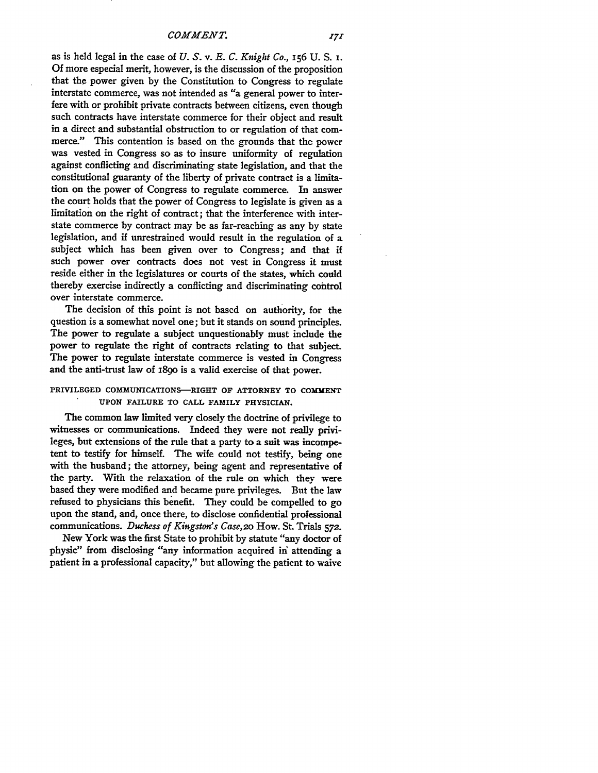as is held legal in the case of *U. S. v. E. C. Knight Co.,* I56 U. S. I. Of more especial merit, however, is the discussion of the proposition that the power given by the Constitution to Congress to regulate interstate commerce, was not intended as "a general power to interfere with or prohibit private contracts between citizens, even though such contracts have interstate commerce for their object and result in a direct and substantial obstruction to or regulation of that commerce." This contention is based on the grounds that the power was vested in Congress so as to insure uniformity of regulation against conflicting and discriminating state legislation, and that the constitutional guaranty of the liberty of private contract is a limitation on the power of Congress to regulate commerce. In answer the court holds that the power of Congress to legislate is given as a limitation on the right of contract; that the interference with interstate commerce by contract may be as far-reaching as any by state legislation, and if unrestrained would result in the regulation of a subject which has been given over to Congress; and that if such power over contracts does not vest in Congress it must reside either in the legislatures or courts of the states, which could thereby exercise indirectly a conflicting and discriminating control over interstate commerce.

The decision of this point is not based on authority, for the question is a somewhat novel one; but it stands on sound principles. The power to regulate a subject unquestionably must include the power to regulate the right of contracts relating to that subject. The power to regulate interstate commerce is vested in Congress and the anti-trust law of I89o is a valid exercise of that power.

## **PRIVILEGED** COMMUNICATIONS-RIGHT **OF ATTORNEY TO COMMENT UPON FAILURE TO CALL FAMILY PHYSICIAN.**

The common law limited very closely the doctrine of privilege to witnesses or communications. Indeed they were not really privileges, but extensions of the rule that a party to a suit was incompetent to testify for himself. The wife could not testify, being one with the husband; the attorney, being agent and representative of the party. With the relaxation of the rule on which they were based they were modified and became pure privileges. But the law refused to physicians this benefit. They could be compelled to go upon the stand, and, once there, to disclose confidential professional communications. *Duchess of Kingston's Case,2o* How. St. Trials **572.**

New York was the first State to prohibit by statute "any doctor of physic" from disclosing "any information acquired in attending a patient in a professional capacity," but allowing the patient to waive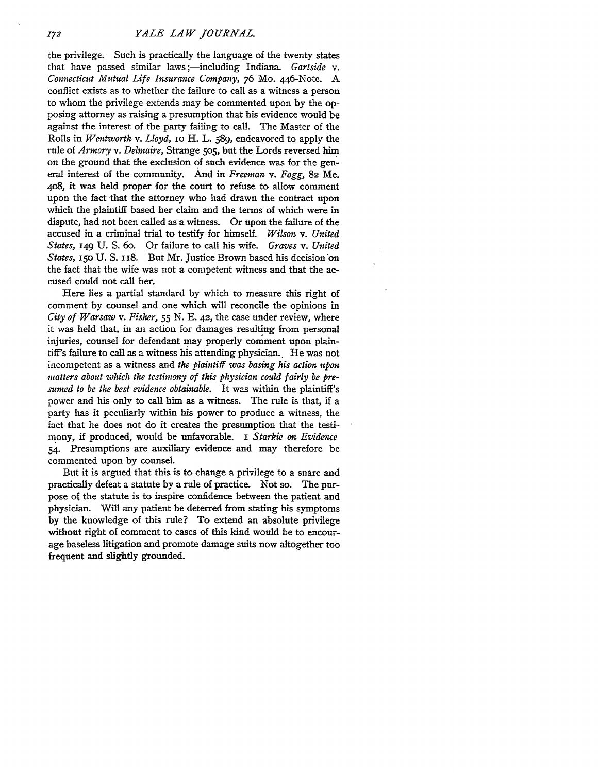the privilege. Such is practically the language of the twenty states that have passed similar laws;—including Indiana. *Gartside* v. *Connecticut Mutual Life Insurance Company, 76* Mo. 446-Note. A conflict exists as to whether the failure to call as a witness a person to whom the privilege extends may be commented upon by the opposing attorney as raising a presumption that his evidence would be against the interest of the party failing to call. The Master of the Rolls in *Wentworth v. Lloyd,* io H. L. 589, endeavored to apply the rule of *Armory v. Delmaire,* Strange **505,** but the Lords reversed him on the ground that the exclusion of such evidence was for the general interest of the community. And in *Freeman v. Fogg,* 82 Me. 4o8, it was held proper for the court to refuse to allow comment upon the fact that the attorney who had drawn the contract upon which the plaintiff based her claim and the terms of which were in dispute, had not been called as a witness. Or upon the failure of the accused in a criminal trial to testify for himself. *Wilson* v. *United States,* 149 U. S. **6o.** Or failure to call his wife. *Graves v. United States,* **150** U. S. 118. But Mr. Justice Brown based his decision on the fact that the wife was not a competent witness and that the accused could not call her.

Here lies a partial standard by which to measure this right of comment by counsel and one which will reconcile the opinions in *City of Warsaw v. Fisher,* 55 N. E. *42,* the case under review, where it was held that, in an action for damages resulting from personal injuries, counsel for defendant may properly comment upon plaintiff's failure to call as a witness his attending physician., He was not incompetent as a witness and *the plaintiff was basing his action upon matters about which the testimony of this physician could fairly be presumed to be the best evidence obtainable.* It was within the plaintiff's power and his only to call him as a witness. The rule is that, if a party has it peculiarly within his power to produce a witness, the fact that he does not do it creates the presumption that the testimony, if produced, would be unfavorable. i *Starkie on Evidence* **54.** Presumptions are auxiliary evidence and may therefore be commented upon by counsel.

But it is argued that this is to change a privilege to a snare and practically defeat a statute by a rule of practice. Not so. The purpose of the statute is to inspire confidence between the patient and physician. Will any patient be deterred from stating his symptoms **by** the knowledge of this rule? To extend an absolute privilege without right of comment to cases of this kind would be to encourage baseless litigation and promote damage suits now altogether too frequent and slightly grounded.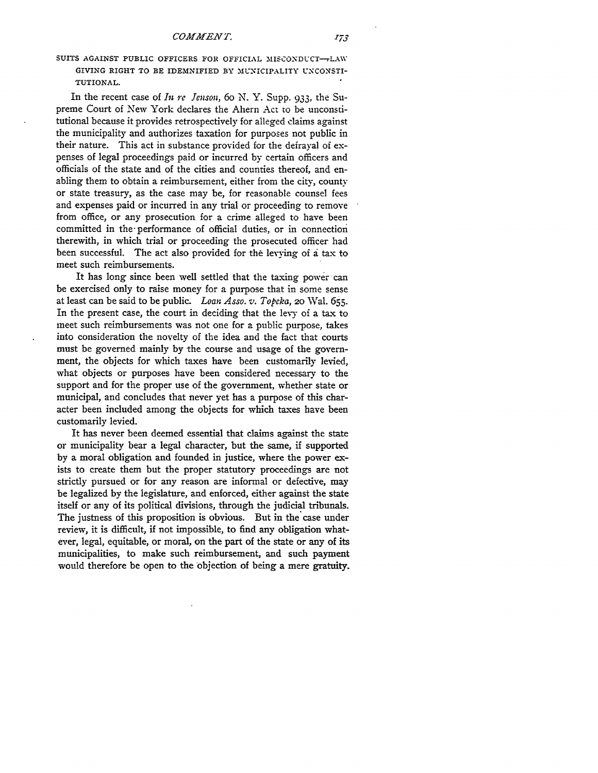In the recent case of *it re Jenson, 6o* N. Y. Supp. 933, the Supreme Court of New York declares the Ahern Act to be unconstitutional because it provides retrospectively for alleged claims against the municipality and authorizes taxation for purposes not public in their nature. This act in substance provided for the defrayal of expenses of legal proceedings paid or incurred by certain officers and officials of the state and of the cities and counties thereof, and enabling them to obtain a reimbursement, either from the city, county or state treasury, as the case may be, for reasonable counsel fees and expenses paid or incurred in any trial or proceeding to remove from office, or any prosecution for a crime alleged to have been committed in the-performance of official duties, or in connection therewith, in which trial or proceeding the prosecuted officer had been successful. The act also provided for the levying of a tax to meet such reimbursements.

It has long since been well settled that the taxing power can be exercised only to raise money for a purpose that in some sense at least can be said to be public. *Loan Asso. v. Topeka,* 20 Wal. 655. In the present case, the court in deciding that the levy of a tax to meet such reimbursements was not one for a public purpose, takes into consideration the novelty of the idea and the fact that courts must be governed mainly by the course and usage of the government, the objects for which taxes have been customarily levied, what objects or purposes have been considered necessary to the support and for the proper use of the government, whether state or municipal, and concludes that never yet has a purpose of this character been included among the objects for which taxes have been customarily levied.

It has never been deemed essential that claims against the state or municipality bear a legal character, but the same, if supported by a moral obligation and founded in justice, where the power exists to create them but the proper statutory proceedings are not strictly pursued or for any reason are informal or defective, may be legalized by the legislature, and enforced, either against the state itself or any of its political divisions, through the judicial tribunals. The justness of this proposition is obvious. But in the case under review, it is difficult, if not impossible, to find any obligation whatever, legal, equitable, or moral, on the part of the state or any of its municipalities, to make such reimbursement, and such payment would therefore be open to the objection of being a mere gratuity.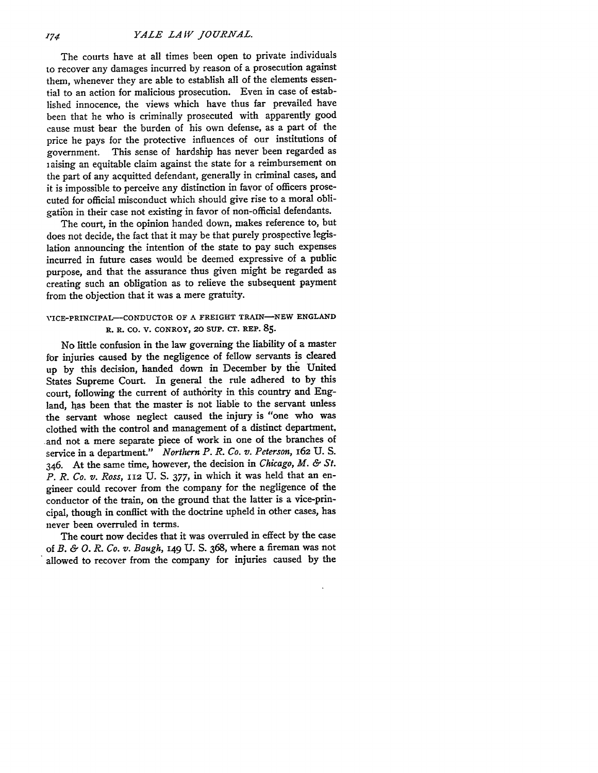The courts have at all times been open to private individuals to recover any damages incurred by reason of a prosecution against them, whenever they are able to establish all of the elements essential to an action for malicious prosecution. Even in case of established innocence, the views which have thus far prevailed have been that he who is criminally prosecuted with apparently good cause must bear the burden of his own defense, as a part of the price he pays for the protective influences of our institutions of government. This sense of hardship has never been regarded as iaising an equitable claim against the state for a reimbursement on the part of any acquitted defendant, generally in criminal cases, and it is impossible to perceive any distinction in favor of officers prosecuted for official misconduct which should give rise to a moral obligatibn in their case not existing in favor of non-official defendants.

The court, in the opinion handed down, makes reference to, but does not decide, the fact that it may be that purely prospective legislation announcing the intention of the state to pay such expenses incurred in future cases would be deemed expressive of a public purpose, and that the assurance thus given might be regarded as creating such an obligation as to relieve the subsequent payment from the objection that it was a mere gratuity.

## VICE-PRINCIPAL--CONDUCTOR OF A FREIGHT TRAIN-NEW **ENGLAND** R. R. **CO. V.** CONROY, 20 **SUP. CT.** REP. **85.**

No little confusion in the law governing the liability of a master for injuries caused by the negligence of fellow servants is cleared up by this decision, handed down in December **by** the United States Supreme Court. In general the rule adhered to **by** this court, following the current of authority in this country and England, has been that the master is not liable to the servant unless the servant whose neglect caused the injury is "one who was clothed with the control and management of a distinct department, and not a mere separate piece of work in one of the branches of service in a department." *Northern P. R. Co. v. Peterson,* 162 **U.** S. 346. At the same time, however, the decision in *Chicago, M. & St. P. R. Co. v. Ross,* **112 U. S. 377,** in which it was held that an engineer could recover from the company for the negligence of the conductor of the train, on the ground that the latter is a vice-principal, though in conflict with the doctrine upheld in other cases, has never been overruled in terms.

The court now decides that it was overruled in effect by the case of *B. & 0. R. Co. v. Baugh,* **149** U. **S.** 368, where a fireman was not allowed to recover from the company for injuries caused by the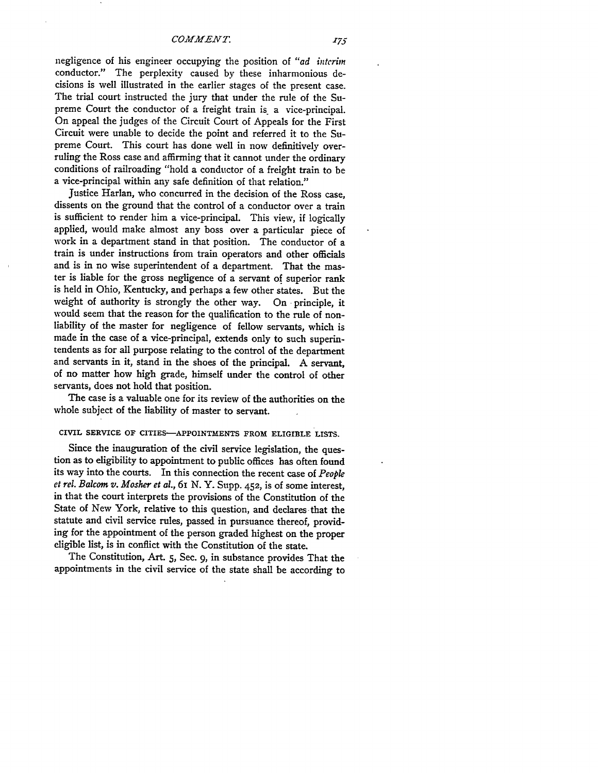negligence of his engineer occupying the position of *"ad interim* conductor." The perplexity caused by these inharmonious decisions is well illustrated in the earlier stages of the present case. The trial court instructed the jury that under the rule of the Supreme Court the conductor of a freight train is a vice-principal. On appeal the judges of the Circuit Court of Appeals for the First Circuit were unable to decide the point and referred it to the Supreme Court. This court has done well in now definitively overruling the Ross case and affirming that it cannot under the ordinary conditions of railroading "hold a conductor of a freight train to be a vice-principal within any safe definition of that relation."

Justice Harlan, who concurred in the decision of the Ross case, dissents on the ground that the control of a conductor over a train is sufficient to render him a vice-principal. This view, if logically applied, would make almost any boss over a particular piece of work in a department stand in that position. The conductor of a train is under instructions from train operators and other officials and is in no wise superintendent of a department. That the master is liable for the gross negligence of a servant of superior rank is held in Ohio, Kentucky, and perhaps a few other states. But the weight of authority is strongly the other way. On principle, it would seem that the reason for the qualification to the rule of nonliability of the master for negligence of fellow servants, which is made in the case of a vice-principal, extends only to such superintendents as for all purpose relating to the control of the department and servants in it, stand in the shoes of the principal. A servant, of no matter how high grade, himself under the control of other servants, does not hold that position.

The case is a valuable one for its review of the authorities on the whole subject of the liability of master to servant.

## CIVIL SERVICE OF CITIES-APPOINTMENTS FROM ELIGIBLE LISTS.

Since the inauguration of the civil service legislation, the question as to eligibility to appointment to public offices has often found its way into the courts. In this connection the recent case of *People et rel. Balcom v. Mosher et al., 61* N. Y. Supp. 452, is of some interest, in that the court interprets the provisions of the Constitution of the State of New York, relative to this question, and declares that the statute and civil service rules, passed in pursuance thereof, providing for the appointment of the person graded highest on the proper eligible list, is in conflict with the Constitution of the state.

The Constitution, Art. 5, Sec. 9, in substance provides That the appointments in the civil service of the state shall be according to